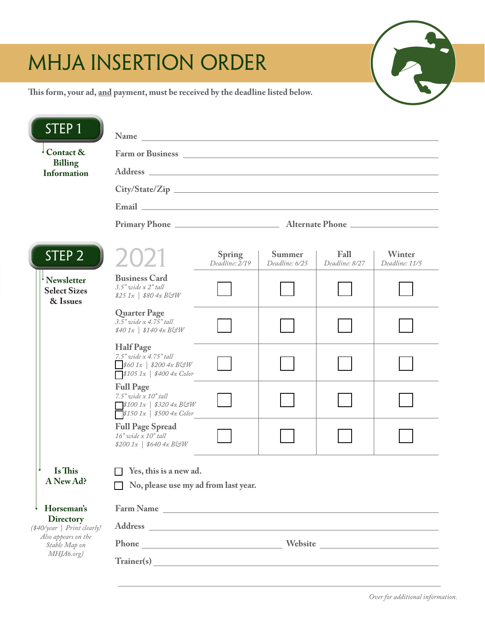# MHJA INSERTION ORDER

**This form, your ad, and payment, must be received by the deadline listed below.**

| STEP <sub>1</sub>                                                                                     |                                                                                                                                                                                                                                |                          |                          |                        |                          |  |
|-------------------------------------------------------------------------------------------------------|--------------------------------------------------------------------------------------------------------------------------------------------------------------------------------------------------------------------------------|--------------------------|--------------------------|------------------------|--------------------------|--|
| $^{\perp}$ Contact &                                                                                  |                                                                                                                                                                                                                                |                          |                          |                        |                          |  |
| <b>Billing</b><br><b>Information</b>                                                                  |                                                                                                                                                                                                                                |                          |                          |                        |                          |  |
|                                                                                                       |                                                                                                                                                                                                                                |                          |                          |                        |                          |  |
|                                                                                                       |                                                                                                                                                                                                                                |                          |                          |                        |                          |  |
|                                                                                                       |                                                                                                                                                                                                                                |                          |                          |                        |                          |  |
| STEP <sub>2</sub>                                                                                     | 2021                                                                                                                                                                                                                           | Spring<br>Deadline: 2/19 | Summer<br>Deadline: 6/25 | Fall<br>Deadline: 8/27 | Winter<br>Deadline: 11/5 |  |
| Newsletter<br><b>Select Sizes</b><br>& Issues                                                         | <b>Business Card</b><br>$3.5"$ wide x $2"$ tall<br>$$25\ 1x$   \$80 4x B&W                                                                                                                                                     |                          |                          |                        |                          |  |
|                                                                                                       | <b>Quarter Page</b><br>3.5" wide x 4.75" tall<br>$$401x$   \$140 $4x$ BGW                                                                                                                                                      |                          |                          |                        |                          |  |
|                                                                                                       | <b>Half Page</b><br>$7.5"$ wide $\overline{x}$ 4.75" tall<br>$$601x$   \$200 4x BGW<br>$\sqrt{$1051x $}$ \$400 4x Color                                                                                                        |                          |                          |                        |                          |  |
|                                                                                                       | <b>Full Page</b><br>$7.5"$ wide $x$ $10"$ tall<br>$\Box$ \$100 1x   \$320 4x B&W<br>$\sqrt{$1501x \mid $5004x \text{ Color}}$                                                                                                  |                          |                          |                        |                          |  |
|                                                                                                       | <b>Full Page Spread</b><br>$16"$ wide $\bar{x}$ $10"$ tall<br>$$2001x$   \$640 4x BGW                                                                                                                                          |                          |                          |                        |                          |  |
| <b>Is This</b><br>A New Ad?                                                                           | $\Box$ Yes, this is a new ad.<br>No, please use my ad from last year.                                                                                                                                                          |                          |                          |                        |                          |  |
| Horseman's<br><b>Directory</b><br>(\$40/year   Print clearly!<br>Also appears on the<br>Stable Map on | Farm Name                                                                                                                                                                                                                      |                          |                          |                        |                          |  |
|                                                                                                       | Address experiences and the contract of the contract of the contract of the contract of the contract of the contract of the contract of the contract of the contract of the contract of the contract of the contract of the co |                          |                          |                        |                          |  |
|                                                                                                       |                                                                                                                                                                                                                                |                          |                          |                        |                          |  |
| MHJA6.org)                                                                                            |                                                                                                                                                                                                                                |                          |                          |                        |                          |  |

T.